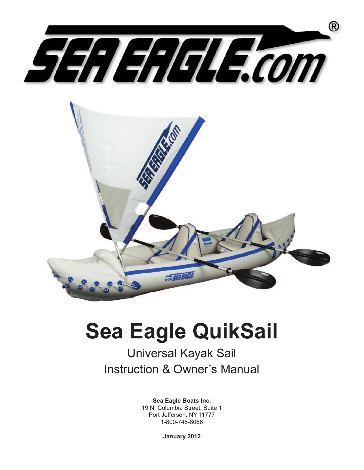

# **Sea Eagle QuikSail**

# Universal Kayak Sail Instruction & Owner's Manual

**Sea Eagle Boats Inc.** 19 N. Columbia Street, Suite 1 Port Jefferson, NY 11777 1-800-748-8066

**January 2012**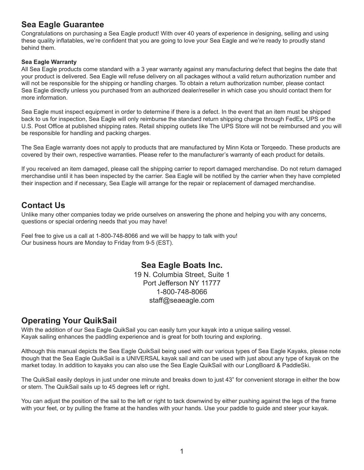## **Sea Eagle Guarantee**

Congratulations on purchasing a Sea Eagle product! With over 40 years of experience in designing, selling and using these quality inflatables, we're confident that you are going to love your Sea Eagle and we're ready to proudly stand behind them.

#### **Sea Eagle Warranty**

All Sea Eagle products come standard with a 3 year warranty against any manufacturing defect that begins the date that your product is delivered. Sea Eagle will refuse delivery on all packages without a valid return authorization number and will not be responsible for the shipping or handling charges. To obtain a return authorization number, please contact Sea Eagle directly unless you purchased from an authorized dealer/reseller in which case you should contact them for more information.

Sea Eagle must inspect equipment in order to determine if there is a defect. In the event that an item must be shipped back to us for inspection, Sea Eagle will only reimburse the standard return shipping charge through FedEx, UPS or the U.S. Post Office at published shipping rates. Retail shipping outlets like The UPS Store will not be reimbursed and you will be responsible for handling and packing charges.

The Sea Eagle warranty does not apply to products that are manufactured by Minn Kota or Torqeedo. These products are covered by their own, respective warranties. Please refer to the manufacturer's warranty of each product for details.

If you received an item damaged, please call the shipping carrier to report damaged merchandise. Do not return damaged merchandise until it has been inspected by the carrier. Sea Eagle will be notified by the carrier when they have completed their inspection and if necessary, Sea Eagle will arrange for the repair or replacement of damaged merchandise.

# **Contact Us**

Unlike many other companies today we pride ourselves on answering the phone and helping you with any concerns, questions or special ordering needs that you may have!

Feel free to give us a call at 1-800-748-8066 and we will be happy to talk with you! Our business hours are Monday to Friday from 9-5 (EST).

> **Sea Eagle Boats Inc.** 19 N. Columbia Street, Suite 1 Port Jefferson NY 11777 1-800-748-8066 staff@seaeagle.com

# **Operating Your QuikSail**

With the addition of our Sea Eagle QuikSail you can easily turn your kayak into a unique sailing vessel. Kayak sailing enhances the paddling experience and is great for both touring and exploring.

Although this manual depicts the Sea Eagle QuikSail being used with our various types of Sea Eagle Kayaks, please note though that the Sea Eagle QuikSail is a UNIVERSAL kayak sail and can be used with just about any type of kayak on the market today. In addition to kayaks you can also use the Sea Eagle QuikSail with our LongBoard & PaddleSki.

The QuikSail easily deploys in just under one minute and breaks down to just 43" for convenient storage in either the bow or stern. The QuikSail sails up to 45 degrees left or right.

You can adjust the position of the sail to the left or right to tack downwind by either pushing against the legs of the frame with your feet, or by pulling the frame at the handles with your hands. Use your paddle to guide and steer your kayak.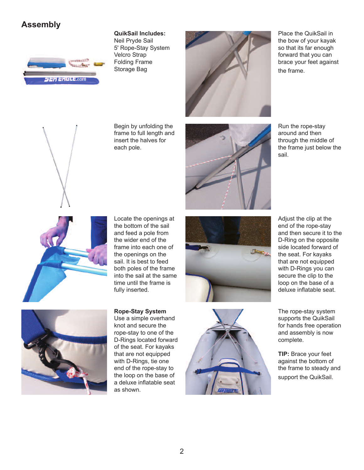# **Assembly**



#### **QuikSail Includes:**

Neil Pryde Sail 5' Rope-Stay System Velcro Strap Folding Frame Storage Bag



Place the QuikSail in the bow of your kayak so that its far enough forward that you can brace your feet against the frame.



Begin by unfolding the frame to full length and insert the halves for each pole.



Run the rope-stay around and then through the middle of the frame just below the sail.



Adjust the clip at the end of the rope-stay and then secure it to the D-Ring on the opposite side located forward of the seat. For kayaks that are not equipped with D-Rings you can secure the clip to the loop on the base of a deluxe inflatable seat.

Locate the openings at the bottom of the sail and feed a pole from the wider end of the frame into each one of the openings on the sail. It is best to feed both poles of the frame into the sail at the same time until the frame is fully inserted.

**Rope-Stay System** Use a simple overhand knot and secure the rope-stay to one of the D-Rings located forward of the seat. For kayaks that are not equipped with D-Rings, tie one end of the rope-stay to the loop on the base of a deluxe inflatable seat as shown.



complete.

The rope-stay system supports the QuikSail for hands free operation and assembly is now

**TIP:** Brace your feet against the bottom of the frame to steady and support the QuikSail.